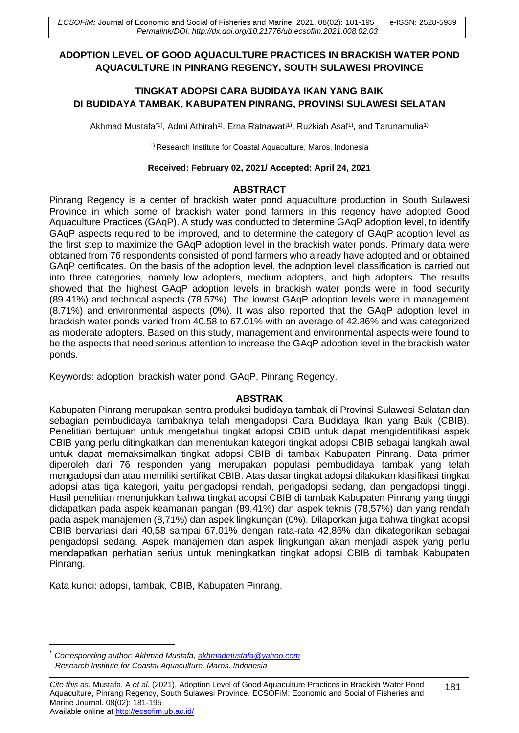# **ADOPTION LEVEL OF GOOD AQUACULTURE PRACTICES IN BRACKISH WATER POND AQUACULTURE IN PINRANG REGENCY, SOUTH SULAWESI PROVINCE**

# **TINGKAT ADOPSI CARA BUDIDAYA IKAN YANG BAIK DI BUDIDAYA TAMBAK, KABUPATEN PINRANG, PROVINSI SULAWESI SELATAN**

Akhmad Mustafa\*1), Admi Athirah1), Erna Ratnawati1), Ruzkiah Asaf1), and Tarunamulia1)

1) Research Institute for Coastal Aquaculture, Maros, Indonesia

#### **Received: February 02, 2021/ Accepted: April 24, 2021**

### **ABSTRACT**

Pinrang Regency is a center of brackish water pond aquaculture production in South Sulawesi Province in which some of brackish water pond farmers in this regency have adopted Good Aquaculture Practices (GAqP). A study was conducted to determine GAqP adoption level, to identify GAqP aspects required to be improved, and to determine the category of GAqP adoption level as the first step to maximize the GAqP adoption level in the brackish water ponds. Primary data were obtained from 76 respondents consisted of pond farmers who already have adopted and or obtained GAqP certificates. On the basis of the adoption level, the adoption level classification is carried out into three categories, namely low adopters, medium adopters, and high adopters. The results showed that the highest GAqP adoption levels in brackish water ponds were in food security (89.41%) and technical aspects (78.57%). The lowest GAqP adoption levels were in management (8.71%) and environmental aspects (0%). It was also reported that the GAqP adoption level in brackish water ponds varied from 40.58 to 67.01% with an average of 42.86% and was categorized as moderate adopters. Based on this study, management and environmental aspects were found to be the aspects that need serious attention to increase the GAqP adoption level in the brackish water ponds.

Keywords: adoption, brackish water pond, GAqP, Pinrang Regency.

### **ABSTRAK**

Kabupaten Pinrang merupakan sentra produksi budidaya tambak di Provinsi Sulawesi Selatan dan sebagian pembudidaya tambaknya telah mengadopsi Cara Budidaya Ikan yang Baik (CBIB). Penelitian bertujuan untuk mengetahui tingkat adopsi CBIB untuk dapat mengidentifikasi aspek CBIB yang perlu ditingkatkan dan menentukan kategori tingkat adopsi CBIB sebagai langkah awal untuk dapat memaksimalkan tingkat adopsi CBIB di tambak Kabupaten Pinrang. Data primer diperoleh dari 76 responden yang merupakan populasi pembudidaya tambak yang telah mengadopsi dan atau memiliki sertifikat CBIB. Atas dasar tingkat adopsi dilakukan klasifikasi tingkat adopsi atas tiga kategori, yaitu pengadopsi rendah, pengadopsi sedang, dan pengadopsi tinggi. Hasil penelitian menunjukkan bahwa tingkat adopsi CBIB di tambak Kabupaten Pinrang yang tinggi didapatkan pada aspek keamanan pangan (89,41%) dan aspek teknis (78,57%) dan yang rendah pada aspek manajemen (8,71%) dan aspek lingkungan (0%). Dilaporkan juga bahwa tingkat adopsi CBIB bervariasi dari 40,58 sampai 67,01% dengan rata-rata 42,86% dan dikategorikan sebagai pengadopsi sedang. Aspek manajemen dan aspek lingkungan akan menjadi aspek yang perlu mendapatkan perhatian serius untuk meningkatkan tingkat adopsi CBIB di tambak Kabupaten Pinrang.

Kata kunci: adopsi, tambak, CBIB, Kabupaten Pinrang.

<sup>\*</sup> *Corresponding author: Akhmad Mustafa, [akhmadmustafa@yahoo.com](mailto:akhmadmustafa@yahoo.com) Research Institute for Coastal Aquaculture, Maros, Indonesia*

*Cite this as:* Mustafa, A *et al.* (2021). Adoption Level of Good Aquaculture Practices in Brackish Water Pond Aquaculture, Pinrang Regency, South Sulawesi Province. ECSOFiM: Economic and Social of Fisheries and Marine Journal. 08(02): 181-195 Available online at <http://ecsofim.ub.ac.id/>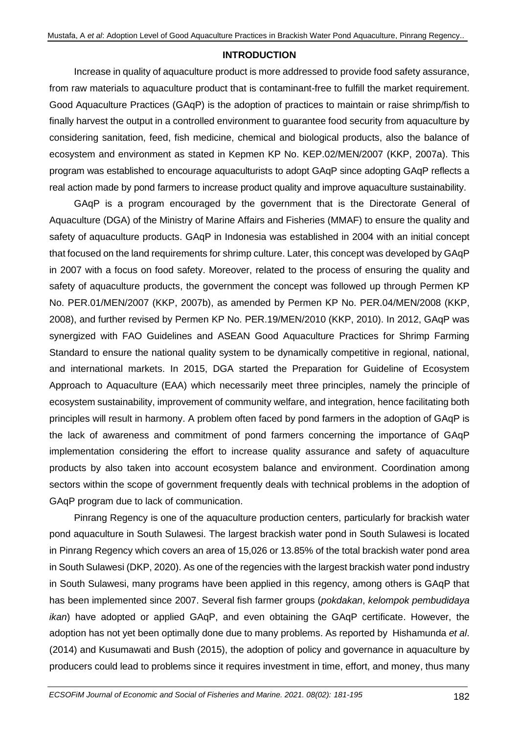## **INTRODUCTION**

Increase in quality of aquaculture product is more addressed to provide food safety assurance, from raw materials to aquaculture product that is contaminant-free to fulfill the market requirement. Good Aquaculture Practices (GAqP) is the adoption of practices to maintain or raise shrimp/fish to finally harvest the output in a controlled environment to guarantee food security from aquaculture by considering sanitation, feed, fish medicine, chemical and biological products, also the balance of ecosystem and environment as stated in Kepmen KP No. KEP.02/MEN/2007 (KKP, 2007a). This program was established to encourage aquaculturists to adopt GAqP since adopting GAqP reflects a real action made by pond farmers to increase product quality and improve aquaculture sustainability.

GAqP is a program encouraged by the government that is the Directorate General of Aquaculture (DGA) of the Ministry of Marine Affairs and Fisheries (MMAF) to ensure the quality and safety of aquaculture products. GAqP in Indonesia was established in 2004 with an initial concept that focused on the land requirements for shrimp culture. Later, this concept was developed by GAqP in 2007 with a focus on food safety. Moreover, related to the process of ensuring the quality and safety of aquaculture products, the government the concept was followed up through Permen KP No. PER.01/MEN/2007 (KKP, 2007b), as amended by Permen KP No. PER.04/MEN/2008 (KKP, 2008), and further revised by Permen KP No. PER.19/MEN/2010 (KKP, 2010). In 2012, GAqP was synergized with FAO Guidelines and ASEAN Good Aquaculture Practices for Shrimp Farming Standard to ensure the national quality system to be dynamically competitive in regional, national, and international markets. In 2015, DGA started the Preparation for Guideline of Ecosystem Approach to Aquaculture (EAA) which necessarily meet three principles, namely the principle of ecosystem sustainability, improvement of community welfare, and integration, hence facilitating both principles will result in harmony. A problem often faced by pond farmers in the adoption of GAqP is the lack of awareness and commitment of pond farmers concerning the importance of GAqP implementation considering the effort to increase quality assurance and safety of aquaculture products by also taken into account ecosystem balance and environment. Coordination among sectors within the scope of government frequently deals with technical problems in the adoption of GAqP program due to lack of communication.

Pinrang Regency is one of the aquaculture production centers, particularly for brackish water pond aquaculture in South Sulawesi. The largest brackish water pond in South Sulawesi is located in Pinrang Regency which covers an area of 15,026 or 13.85% of the total brackish water pond area in South Sulawesi (DKP, 2020). As one of the regencies with the largest brackish water pond industry in South Sulawesi, many programs have been applied in this regency, among others is GAqP that has been implemented since 2007. Several fish farmer groups (*pokdakan*, *kelompok pembudidaya ikan*) have adopted or applied GAqP, and even obtaining the GAqP certificate. However, the adoption has not yet been optimally done due to many problems. As reported by Hishamunda *et al*. (2014) and Kusumawati and Bush (2015), the adoption of policy and governance in aquaculture by producers could lead to problems since it requires investment in time, effort, and money, thus many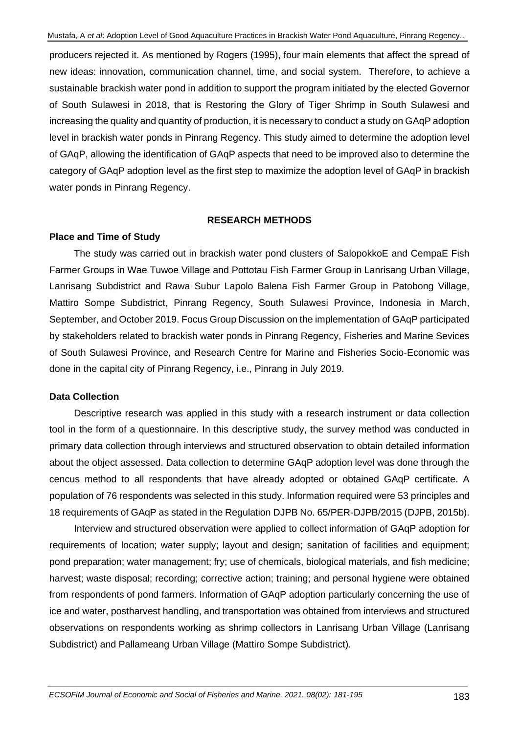producers rejected it. As mentioned by Rogers (1995), four main elements that affect the spread of new ideas: innovation, communication channel, time, and social system. Therefore, to achieve a sustainable brackish water pond in addition to support the program initiated by the elected Governor of South Sulawesi in 2018, that is Restoring the Glory of Tiger Shrimp in South Sulawesi and increasing the quality and quantity of production, it is necessary to conduct a study on GAqP adoption level in brackish water ponds in Pinrang Regency. This study aimed to determine the adoption level of GAqP, allowing the identification of GAqP aspects that need to be improved also to determine the category of GAqP adoption level as the first step to maximize the adoption level of GAqP in brackish water ponds in Pinrang Regency.

## **RESEARCH METHODS**

## **Place and Time of Study**

The study was carried out in brackish water pond clusters of SalopokkoE and CempaE Fish Farmer Groups in Wae Tuwoe Village and Pottotau Fish Farmer Group in Lanrisang Urban Village, Lanrisang Subdistrict and Rawa Subur Lapolo Balena Fish Farmer Group in Patobong Village, Mattiro Sompe Subdistrict, Pinrang Regency, South Sulawesi Province, Indonesia in March, September, and October 2019. Focus Group Discussion on the implementation of GAqP participated by stakeholders related to brackish water ponds in Pinrang Regency, Fisheries and Marine Sevices of South Sulawesi Province, and Research Centre for Marine and Fisheries Socio*-*Economic was done in the capital city of Pinrang Regency, i.e., Pinrang in July 2019.

### **Data Collection**

Descriptive research was applied in this study with a research instrument or data collection tool in the form of a questionnaire. In this descriptive study, the survey method was conducted in primary data collection through interviews and structured observation to obtain detailed information about the object assessed. Data collection to determine GAqP adoption level was done through the cencus method to all respondents that have already adopted or obtained GAqP certificate. A population of 76 respondents was selected in this study. Information required were 53 principles and 18 requirements of GAqP as stated in the Regulation DJPB No. 65/PER-DJPB/2015 (DJPB, 2015b).

Interview and structured observation were applied to collect information of GAqP adoption for requirements of location; water supply; layout and design; sanitation of facilities and equipment; pond preparation; water management; fry; use of chemicals, biological materials, and fish medicine; harvest; waste disposal; recording; corrective action; training; and personal hygiene were obtained from respondents of pond farmers. Information of GAqP adoption particularly concerning the use of ice and water, postharvest handling, and transportation was obtained from interviews and structured observations on respondents working as shrimp collectors in Lanrisang Urban Village (Lanrisang Subdistrict) and Pallameang Urban Village (Mattiro Sompe Subdistrict).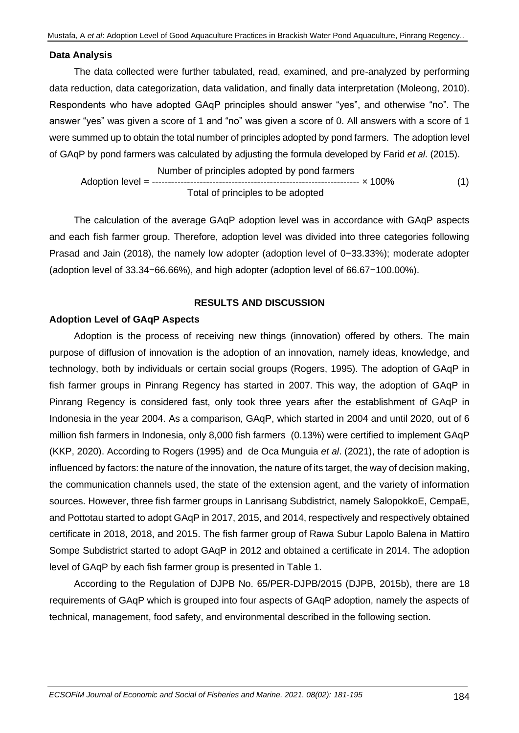#### **Data Analysis**

The data collected were further tabulated, read, examined, and pre-analyzed by performing data reduction, data categorization, data validation, and finally data interpretation (Moleong, 2010). Respondents who have adopted GAqP principles should answer "yes", and otherwise "no". The answer "yes" was given a score of 1 and "no" was given a score of 0. All answers with a score of 1 were summed up to obtain the total number of principles adopted by pond farmers. The adoption level of GAqP by pond farmers was calculated by adjusting the formula developed by Farid *et al*. (2015).

 Number of principles adopted by pond farmers Adoption level = ----------------------------------------------------------------- × 100% (1) Total of principles to be adopted

The calculation of the average GAqP adoption level was in accordance with GAqP aspects and each fish farmer group. Therefore, adoption level was divided into three categories following Prasad and Jain (2018), the namely low adopter (adoption level of 0−33.33%); moderate adopter (adoption level of 33.34−66.66%), and high adopter (adoption level of 66.67−100.00%).

### **RESULTS AND DISCUSSION**

### **Adoption Level of GAqP Aspects**

Adoption is the process of receiving new things (innovation) offered by others. The main purpose of diffusion of innovation is the adoption of an innovation, namely ideas, knowledge, and technology, both by individuals or certain social groups (Rogers, 1995). The adoption of GAqP in fish farmer groups in Pinrang Regency has started in 2007. This way, the adoption of GAqP in Pinrang Regency is considered fast, only took three years after the establishment of GAqP in Indonesia in the year 2004. As a comparison, GAqP, which started in 2004 and until 2020, out of 6 million fish farmers in Indonesia, only 8,000 fish farmers (0.13%) were certified to implement GAqP (KKP, 2020). According to Rogers (1995) and de Oca Munguia *et al*. (2021), the rate of adoption is influenced by factors: the nature of the innovation, the nature of its target, the way of decision making, the communication channels used, the state of the extension agent, and the variety of information sources. However, three fish farmer groups in Lanrisang Subdistrict, namely SalopokkoE, CempaE, and Pottotau started to adopt GAqP in 2017, 2015, and 2014, respectively and respectively obtained certificate in 2018, 2018, and 2015. The fish farmer group of Rawa Subur Lapolo Balena in Mattiro Sompe Subdistrict started to adopt GAqP in 2012 and obtained a certificate in 2014. The adoption level of GAqP by each fish farmer group is presented in Table 1.

According to the Regulation of DJPB No. 65/PER-DJPB/2015 (DJPB, 2015b), there are 18 requirements of GAqP which is grouped into four aspects of GAqP adoption, namely the aspects of technical, management, food safety, and environmental described in the following section.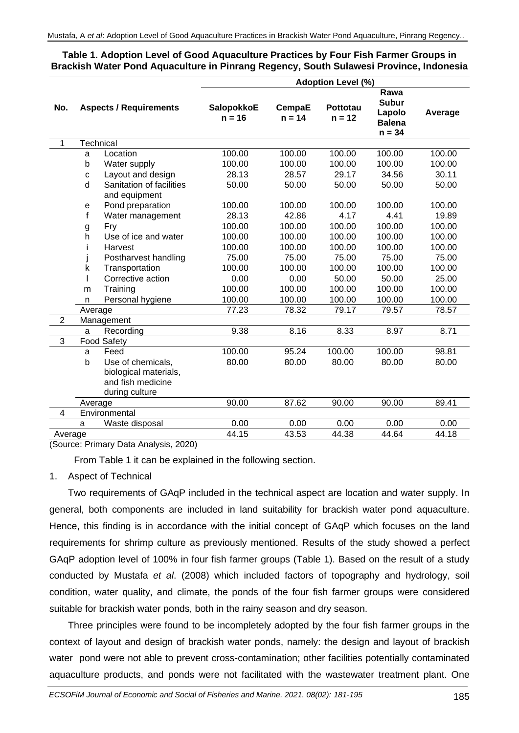# **Table 1. Adoption Level of Good Aquaculture Practices by Four Fish Farmer Groups in Brackish Water Pond Aquaculture in Pinrang Regency, South Sulawesi Province, Indonesia**

|                |                                        |                               | <b>Adoption Level (%)</b>                    |        |                                                                                     |        |         |  |  |
|----------------|----------------------------------------|-------------------------------|----------------------------------------------|--------|-------------------------------------------------------------------------------------|--------|---------|--|--|
| No.            |                                        | <b>Aspects / Requirements</b> | SalopokkoE<br>CempaE<br>$n = 16$<br>$n = 14$ |        | Rawa<br><b>Subur</b><br>Pottotau<br>Lapolo<br>$n = 12$<br><b>Balena</b><br>$n = 34$ |        | Average |  |  |
| 1              |                                        | <b>Technical</b>              |                                              |        |                                                                                     |        |         |  |  |
|                | a                                      | Location                      | 100.00                                       | 100.00 | 100.00                                                                              | 100.00 | 100.00  |  |  |
|                | b                                      | Water supply                  | 100.00                                       | 100.00 | 100.00                                                                              | 100.00 | 100.00  |  |  |
|                | C                                      | Layout and design             | 28.13                                        | 28.57  | 29.17                                                                               | 34.56  | 30.11   |  |  |
|                | d                                      | Sanitation of facilities      | 50.00                                        | 50.00  | 50.00                                                                               | 50.00  | 50.00   |  |  |
|                |                                        | and equipment                 |                                              |        |                                                                                     |        |         |  |  |
|                | e                                      | Pond preparation              | 100.00                                       | 100.00 | 100.00                                                                              | 100.00 | 100.00  |  |  |
|                | f                                      | Water management              | 28.13                                        | 42.86  | 4.17                                                                                | 4.41   | 19.89   |  |  |
|                | g                                      | Fry                           | 100.00                                       | 100.00 | 100.00                                                                              | 100.00 | 100.00  |  |  |
|                | h                                      | Use of ice and water          | 100.00                                       | 100.00 | 100.00                                                                              | 100.00 | 100.00  |  |  |
|                | L                                      | Harvest                       | 100.00                                       | 100.00 | 100.00                                                                              | 100.00 | 100.00  |  |  |
|                | I                                      | Postharvest handling          | 75.00                                        | 75.00  | 75.00                                                                               | 75.00  | 75.00   |  |  |
|                | k                                      | Transportation                | 100.00                                       | 100.00 | 100.00                                                                              | 100.00 | 100.00  |  |  |
|                |                                        | Corrective action             | 0.00                                         | 0.00   | 50.00                                                                               | 50.00  | 25.00   |  |  |
|                | m                                      | Training                      | 100.00                                       | 100.00 | 100.00                                                                              | 100.00 | 100.00  |  |  |
|                | n                                      | Personal hygiene              | 100.00                                       | 100.00 | 100.00                                                                              | 100.00 | 100.00  |  |  |
|                | Average                                |                               | 77.23                                        | 78.32  | 79.17                                                                               | 79.57  | 78.57   |  |  |
| $\overline{2}$ |                                        | Management                    |                                              |        |                                                                                     |        |         |  |  |
|                | 9.38<br>8.16<br>8.33<br>Recording<br>a |                               |                                              |        |                                                                                     | 8.97   | 8.71    |  |  |
| $\mathbf{3}$   | <b>Food Safety</b>                     |                               |                                              |        |                                                                                     |        |         |  |  |
|                | a                                      | Feed                          | 100.00                                       | 95.24  | 100.00                                                                              | 100.00 | 98.81   |  |  |
|                | b                                      | Use of chemicals,             | 80.00                                        | 80.00  | 80.00                                                                               | 80.00  | 80.00   |  |  |
|                |                                        | biological materials,         |                                              |        |                                                                                     |        |         |  |  |
|                |                                        | and fish medicine             |                                              |        |                                                                                     |        |         |  |  |
|                |                                        | during culture                |                                              |        |                                                                                     |        |         |  |  |
|                | Average                                |                               | 90.00                                        | 87.62  | 90.00                                                                               | 90.00  | 89.41   |  |  |
| 4              | Environmental                          |                               |                                              |        |                                                                                     |        |         |  |  |
|                | a                                      | Waste disposal                | 0.00                                         | 0.00   | 0.00                                                                                | 0.00   | 0.00    |  |  |
| Average        |                                        |                               | 44.15                                        | 43.53  | 44.38                                                                               | 44.64  | 44.18   |  |  |

(Source: Primary Data Analysis, 2020)

From Table 1 it can be explained in the following section.

### 1. Aspect of Technical

Two requirements of GAqP included in the technical aspect are location and water supply. In general, both components are included in land suitability for brackish water pond aquaculture. Hence, this finding is in accordance with the initial concept of GAqP which focuses on the land requirements for shrimp culture as previously mentioned. Results of the study showed a perfect GAqP adoption level of 100% in four fish farmer groups (Table 1). Based on the result of a study conducted by Mustafa *et al*. (2008) which included factors of topography and hydrology, soil condition, water quality, and climate, the ponds of the four fish farmer groups were considered suitable for brackish water ponds, both in the rainy season and dry season.

Three principles were found to be incompletely adopted by the four fish farmer groups in the context of layout and design of brackish water ponds, namely: the design and layout of brackish water pond were not able to prevent cross-contamination; other facilities potentially contaminated aquaculture products, and ponds were not facilitated with the wastewater treatment plant. One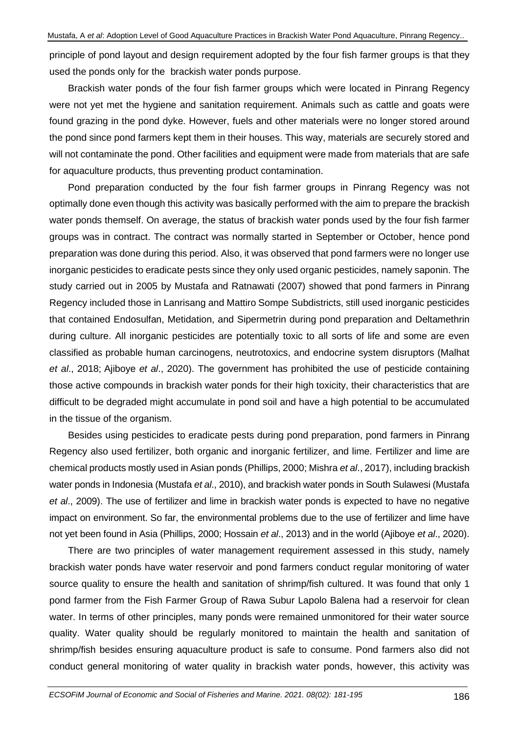principle of pond layout and design requirement adopted by the four fish farmer groups is that they used the ponds only for the brackish water ponds purpose.

Brackish water ponds of the four fish farmer groups which were located in Pinrang Regency were not yet met the hygiene and sanitation requirement. Animals such as cattle and goats were found grazing in the pond dyke. However, fuels and other materials were no longer stored around the pond since pond farmers kept them in their houses. This way, materials are securely stored and will not contaminate the pond. Other facilities and equipment were made from materials that are safe for aquaculture products, thus preventing product contamination.

Pond preparation conducted by the four fish farmer groups in Pinrang Regency was not optimally done even though this activity was basically performed with the aim to prepare the brackish water ponds themself. On average, the status of brackish water ponds used by the four fish farmer groups was in contract. The contract was normally started in September or October, hence pond preparation was done during this period. Also, it was observed that pond farmers were no longer use inorganic pesticides to eradicate pests since they only used organic pesticides, namely saponin. The study carried out in 2005 by Mustafa and Ratnawati (2007) showed that pond farmers in Pinrang Regency included those in Lanrisang and Mattiro Sompe Subdistricts, still used inorganic pesticides that contained Endosulfan, Metidation, and Sipermetrin during pond preparation and Deltamethrin during culture. All inorganic pesticides are potentially toxic to all sorts of life and some are even classified as probable human carcinogens, neutrotoxics, and endocrine system disruptors (Malhat *et al*., 2018; Ajiboye *et al*., 2020). The government has prohibited the use of pesticide containing those active compounds in brackish water ponds for their high toxicity, their characteristics that are difficult to be degraded might accumulate in pond soil and have a high potential to be accumulated in the tissue of the organism.

Besides using pesticides to eradicate pests during pond preparation, pond farmers in Pinrang Regency also used fertilizer, both organic and inorganic fertilizer, and lime. Fertilizer and lime are chemical products mostly used in Asian ponds (Phillips, 2000; Mishra *et al*., 2017), including brackish water ponds in Indonesia (Mustafa *et al*., 2010), and brackish water ponds in South Sulawesi (Mustafa *et al*., 2009). The use of fertilizer and lime in brackish water ponds is expected to have no negative impact on environment. So far, the environmental problems due to the use of fertilizer and lime have not yet been found in Asia (Phillips, 2000; Hossain *et al*., 2013) and in the world (Ajiboye *et al*., 2020).

There are two principles of water management requirement assessed in this study, namely brackish water ponds have water reservoir and pond farmers conduct regular monitoring of water source quality to ensure the health and sanitation of shrimp/fish cultured. It was found that only 1 pond farmer from the Fish Farmer Group of Rawa Subur Lapolo Balena had a reservoir for clean water. In terms of other principles, many ponds were remained unmonitored for their water source quality. Water quality should be regularly monitored to maintain the health and sanitation of shrimp/fish besides ensuring aquaculture product is safe to consume. Pond farmers also did not conduct general monitoring of water quality in brackish water ponds, however, this activity was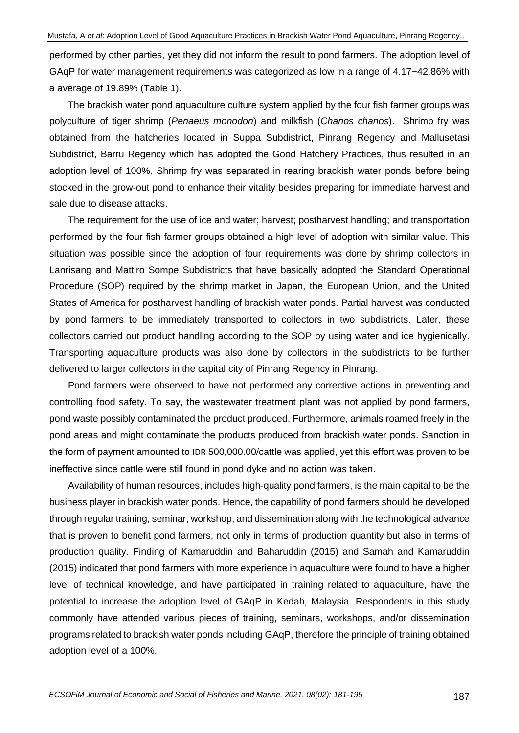performed by other parties, yet they did not inform the result to pond farmers. The adoption level of GAqP for water management requirements was categorized as low in a range of 4.17−42.86% with a average of 19.89% (Table 1).

The brackish water pond aquaculture culture system applied by the four fish farmer groups was polyculture of tiger shrimp (*Penaeus monodon*) and milkfish (*Chanos chanos*). Shrimp fry was obtained from the hatcheries located in Suppa Subdistrict, Pinrang Regency and Mallusetasi Subdistrict, Barru Regency which has adopted the Good Hatchery Practices, thus resulted in an adoption level of 100%. Shrimp fry was separated in rearing brackish water ponds before being stocked in the grow-out pond to enhance their vitality besides preparing for immediate harvest and sale due to disease attacks.

The requirement for the use of ice and water; harvest; postharvest handling; and transportation performed by the four fish farmer groups obtained a high level of adoption with similar value. This situation was possible since the adoption of four requirements was done by shrimp collectors in Lanrisang and Mattiro Sompe Subdistricts that have basically adopted the Standard Operational Procedure (SOP) required by the shrimp market in Japan, the European Union, and the United States of America for postharvest handling of brackish water ponds. Partial harvest was conducted by pond farmers to be immediately transported to collectors in two subdistricts. Later, these collectors carried out product handling according to the SOP by using water and ice hygienically. Transporting aquaculture products was also done by collectors in the subdistricts to be further delivered to larger collectors in the capital city of Pinrang Regency in Pinrang.

Pond farmers were observed to have not performed any corrective actions in preventing and controlling food safety. To say, the wastewater treatment plant was not applied by pond farmers, pond waste possibly contaminated the product produced. Furthermore, animals roamed freely in the pond areas and might contaminate the products produced from brackish water ponds. Sanction in the form of payment amounted to IDR 500,000.00/cattle was applied, yet this effort was proven to be ineffective since cattle were still found in pond dyke and no action was taken.

Availability of human resources, includes high-quality pond farmers, is the main capital to be the business player in brackish water ponds. Hence, the capability of pond farmers should be developed through regular training, seminar, workshop, and dissemination along with the technological advance that is proven to benefit pond farmers, not only in terms of production quantity but also in terms of production quality. Finding of Kamaruddin and Baharuddin (2015) and Samah and Kamaruddin (2015) indicated that pond farmers with more experience in aquaculture were found to have a higher level of technical knowledge, and have participated in training related to aquaculture, have the potential to increase the adoption level of GAqP in Kedah, Malaysia. Respondents in this study commonly have attended various pieces of training, seminars, workshops, and/or dissemination programs related to brackish water ponds including GAqP, therefore the principle of training obtained adoption level of a 100%.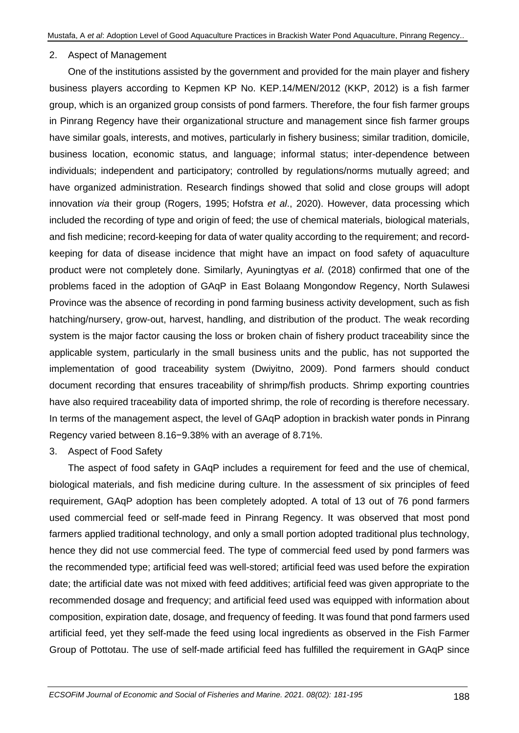### 2. Aspect of Management

One of the institutions assisted by the government and provided for the main player and fishery business players according to Kepmen KP No. KEP.14/MEN/2012 (KKP, 2012) is a fish farmer group, which is an organized group consists of pond farmers. Therefore, the four fish farmer groups in Pinrang Regency have their organizational structure and management since fish farmer groups have similar goals, interests, and motives, particularly in fishery business; similar tradition, domicile, business location, economic status, and language; informal status; inter-dependence between individuals; independent and participatory; controlled by regulations/norms mutually agreed; and have organized administration. Research findings showed that solid and close groups will adopt innovation *via* their group (Rogers, 1995; Hofstra *et al*., 2020). However, data processing which included the recording of type and origin of feed; the use of chemical materials, biological materials, and fish medicine; record-keeping for data of water quality according to the requirement; and recordkeeping for data of disease incidence that might have an impact on food safety of aquaculture product were not completely done. Similarly, Ayuningtyas *et al*. (2018) confirmed that one of the problems faced in the adoption of GAqP in East Bolaang Mongondow Regency, North Sulawesi Province was the absence of recording in pond farming business activity development, such as fish hatching/nursery, grow-out, harvest, handling, and distribution of the product. The weak recording system is the major factor causing the loss or broken chain of fishery product traceability since the applicable system, particularly in the small business units and the public, has not supported the implementation of good traceability system (Dwiyitno, 2009). Pond farmers should conduct document recording that ensures traceability of shrimp/fish products. Shrimp exporting countries have also required traceability data of imported shrimp, the role of recording is therefore necessary. In terms of the management aspect, the level of GAqP adoption in brackish water ponds in Pinrang Regency varied between 8.16−9.38% with an average of 8.71%.

3. Aspect of Food Safety

The aspect of food safety in GAqP includes a requirement for feed and the use of chemical, biological materials, and fish medicine during culture. In the assessment of six principles of feed requirement, GAqP adoption has been completely adopted. A total of 13 out of 76 pond farmers used commercial feed or self-made feed in Pinrang Regency. It was observed that most pond farmers applied traditional technology, and only a small portion adopted traditional plus technology, hence they did not use commercial feed. The type of commercial feed used by pond farmers was the recommended type; artificial feed was well-stored; artificial feed was used before the expiration date; the artificial date was not mixed with feed additives; artificial feed was given appropriate to the recommended dosage and frequency; and artificial feed used was equipped with information about composition, expiration date, dosage, and frequency of feeding. It was found that pond farmers used artificial feed, yet they self-made the feed using local ingredients as observed in the Fish Farmer Group of Pottotau. The use of self-made artificial feed has fulfilled the requirement in GAqP since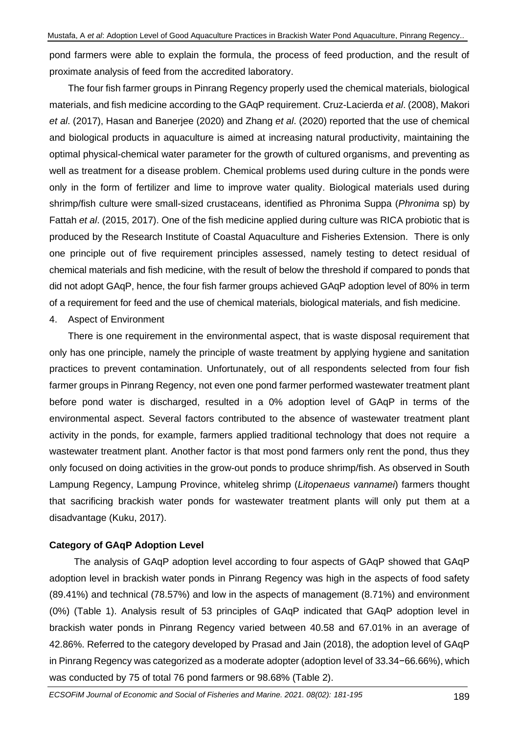pond farmers were able to explain the formula, the process of feed production, and the result of proximate analysis of feed from the accredited laboratory.

The four fish farmer groups in Pinrang Regency properly used the chemical materials, biological materials, and fish medicine according to the GAqP requirement. Cruz-Lacierda *et al*. (2008), Makori *et al*. (2017), Hasan and Banerjee (2020) and Zhang *et al*. (2020) reported that the use of chemical and biological products in aquaculture is aimed at increasing natural productivity, maintaining the optimal physical-chemical water parameter for the growth of cultured organisms, and preventing as well as treatment for a disease problem. Chemical problems used during culture in the ponds were only in the form of fertilizer and lime to improve water quality. Biological materials used during shrimp/fish culture were small-sized crustaceans, identified as Phronima Suppa (*Phronima* sp) by Fattah *et al*. (2015, 2017). One of the fish medicine applied during culture was RICA probiotic that is produced by the Research Institute of Coastal Aquaculture and Fisheries Extension. There is only one principle out of five requirement principles assessed, namely testing to detect residual of chemical materials and fish medicine, with the result of below the threshold if compared to ponds that did not adopt GAqP, hence, the four fish farmer groups achieved GAqP adoption level of 80% in term of a requirement for feed and the use of chemical materials, biological materials, and fish medicine.

### 4. Aspect of Environment

There is one requirement in the environmental aspect, that is waste disposal requirement that only has one principle, namely the principle of waste treatment by applying hygiene and sanitation practices to prevent contamination. Unfortunately, out of all respondents selected from four fish farmer groups in Pinrang Regency, not even one pond farmer performed wastewater treatment plant before pond water is discharged, resulted in a 0% adoption level of GAqP in terms of the environmental aspect. Several factors contributed to the absence of wastewater treatment plant activity in the ponds, for example, farmers applied traditional technology that does not require a wastewater treatment plant. Another factor is that most pond farmers only rent the pond, thus they only focused on doing activities in the grow-out ponds to produce shrimp/fish. As observed in South Lampung Regency, Lampung Province, whiteleg shrimp (*Litopenaeus vannamei*) farmers thought that sacrificing brackish water ponds for wastewater treatment plants will only put them at a disadvantage (Kuku, 2017).

### **Category of GAqP Adoption Level**

The analysis of GAqP adoption level according to four aspects of GAqP showed that GAqP adoption level in brackish water ponds in Pinrang Regency was high in the aspects of food safety (89.41%) and technical (78.57%) and low in the aspects of management (8.71%) and environment (0%) (Table 1). Analysis result of 53 principles of GAqP indicated that GAqP adoption level in brackish water ponds in Pinrang Regency varied between 40.58 and 67.01% in an average of 42.86%. Referred to the category developed by Prasad and Jain (2018), the adoption level of GAqP in Pinrang Regency was categorized as a moderate adopter (adoption level of 33.34−66.66%), which was conducted by 75 of total 76 pond farmers or 98.68% (Table 2).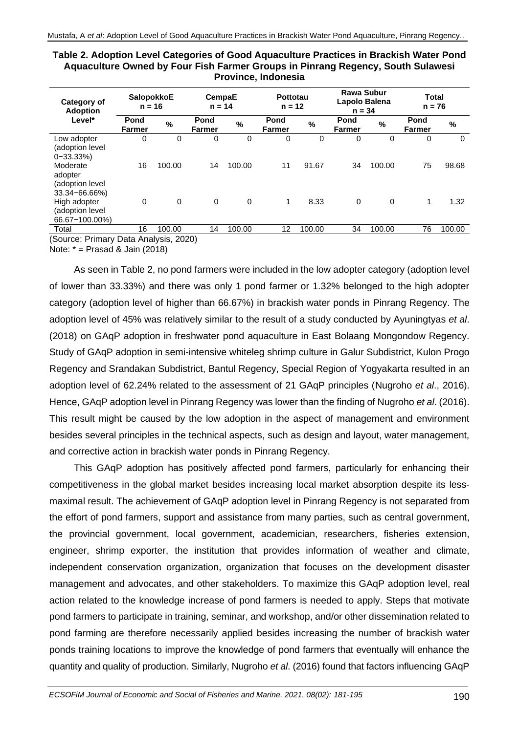| Category of<br><b>Adoption</b>                              | <b>SalopokkoE</b><br>$n = 16$ |               | CempaE<br>$n = 14$    |        | Pottotau<br>$n = 12$ |        | <b>Rawa Subur</b><br>Lapolo Balena<br>$n = 34$ |          | Total<br>$n = 76$     |          |
|-------------------------------------------------------------|-------------------------------|---------------|-----------------------|--------|----------------------|--------|------------------------------------------------|----------|-----------------------|----------|
| Level*                                                      | Pond<br><b>Farmer</b>         | $\frac{0}{0}$ | Pond<br><b>Farmer</b> | %      | Pond<br>Farmer       | $\%$   | Pond<br><b>Farmer</b>                          | %        | Pond<br><b>Farmer</b> | %        |
| Low adopter<br>(adoption level<br>$0 - 33.33\%)$            | 0                             | 0             | 0                     | 0      | 0                    | 0      | 0                                              | $\Omega$ | 0                     | $\Omega$ |
| Moderate<br>adopter<br>(adoption level<br>$33.34 - 66.66\%$ | 16                            | 100.00        | 14                    | 100.00 | 11                   | 91.67  | 34                                             | 100.00   | 75                    | 98.68    |
| High adopter<br>(adoption level<br>66.67-100.00%)           | $\Omega$                      | $\mathbf 0$   | $\mathbf 0$           | 0      | 1                    | 8.33   | $\mathbf 0$                                    | $\Omega$ | 1                     | 1.32     |
| Total<br>(Source: Primary Data Analysis, 2020)              | 16                            | 100.00        | 14                    | 100.00 | 12                   | 100.00 | 34                                             | 100.00   | 76                    | 100.00   |

**Table 2. Adoption Level Categories of Good Aquaculture Practices in Brackish Water Pond Aquaculture Owned by Four Fish Farmer Groups in Pinrang Regency, South Sulawesi Province, Indonesia**

purce: Primary Data Anal

Note:  $* =$  Prasad & Jain (2018)

As seen in Table 2, no pond farmers were included in the low adopter category (adoption level of lower than 33.33%) and there was only 1 pond farmer or 1.32% belonged to the high adopter category (adoption level of higher than 66.67%) in brackish water ponds in Pinrang Regency. The adoption level of 45% was relatively similar to the result of a study conducted by Ayuningtyas *et al*. (2018) on GAqP adoption in freshwater pond aquaculture in East Bolaang Mongondow Regency. Study of GAqP adoption in semi-intensive whiteleg shrimp culture in Galur Subdistrict, Kulon Progo Regency and Srandakan Subdistrict, Bantul Regency, Special Region of Yogyakarta resulted in an adoption level of 62.24% related to the assessment of 21 GAqP principles (Nugroho *et al*., 2016). Hence, GAqP adoption level in Pinrang Regency was lower than the finding of Nugroho *et al*. (2016). This result might be caused by the low adoption in the aspect of management and environment besides several principles in the technical aspects, such as design and layout, water management, and corrective action in brackish water ponds in Pinrang Regency.

This GAqP adoption has positively affected pond farmers, particularly for enhancing their competitiveness in the global market besides increasing local market absorption despite its lessmaximal result. The achievement of GAqP adoption level in Pinrang Regency is not separated from the effort of pond farmers, support and assistance from many parties, such as central government, the provincial government, local government, academician, researchers, fisheries extension, engineer, shrimp exporter, the institution that provides information of weather and climate, independent conservation organization, organization that focuses on the development disaster management and advocates, and other stakeholders. To maximize this GAqP adoption level, real action related to the knowledge increase of pond farmers is needed to apply. Steps that motivate pond farmers to participate in training, seminar, and workshop, and/or other dissemination related to pond farming are therefore necessarily applied besides increasing the number of brackish water ponds training locations to improve the knowledge of pond farmers that eventually will enhance the quantity and quality of production. Similarly, Nugroho *et al*. (2016) found that factors influencing GAqP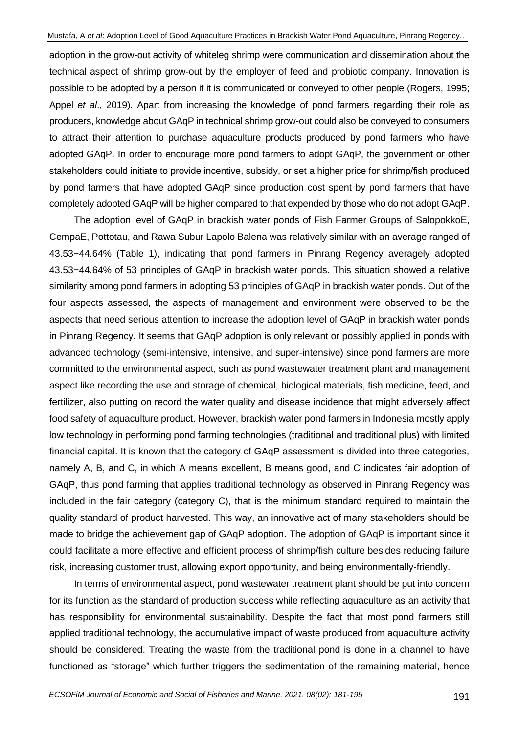adoption in the grow-out activity of whiteleg shrimp were communication and dissemination about the technical aspect of shrimp grow-out by the employer of feed and probiotic company. Innovation is possible to be adopted by a person if it is communicated or conveyed to other people (Rogers, 1995; Appel *et al*., 2019). Apart from increasing the knowledge of pond farmers regarding their role as producers, knowledge about GAqP in technical shrimp grow-out could also be conveyed to consumers to attract their attention to purchase aquaculture products produced by pond farmers who have adopted GAqP. In order to encourage more pond farmers to adopt GAqP, the government or other stakeholders could initiate to provide incentive, subsidy, or set a higher price for shrimp/fish produced by pond farmers that have adopted GAqP since production cost spent by pond farmers that have completely adopted GAqP will be higher compared to that expended by those who do not adopt GAqP.

The adoption level of GAqP in brackish water ponds of Fish Farmer Groups of SalopokkoE, CempaE, Pottotau, and Rawa Subur Lapolo Balena was relatively similar with an average ranged of 43.53−44.64% (Table 1), indicating that pond farmers in Pinrang Regency averagely adopted 43.53−44.64% of 53 principles of GAqP in brackish water ponds. This situation showed a relative similarity among pond farmers in adopting 53 principles of GAqP in brackish water ponds. Out of the four aspects assessed, the aspects of management and environment were observed to be the aspects that need serious attention to increase the adoption level of GAqP in brackish water ponds in Pinrang Regency. It seems that GAqP adoption is only relevant or possibly applied in ponds with advanced technology (semi-intensive, intensive, and super-intensive) since pond farmers are more committed to the environmental aspect, such as pond wastewater treatment plant and management aspect like recording the use and storage of chemical, biological materials, fish medicine, feed, and fertilizer, also putting on record the water quality and disease incidence that might adversely affect food safety of aquaculture product. However, brackish water pond farmers in Indonesia mostly apply low technology in performing pond farming technologies (traditional and traditional plus) with limited financial capital. It is known that the category of GAqP assessment is divided into three categories, namely A, B, and C, in which A means excellent, B means good, and C indicates fair adoption of GAqP, thus pond farming that applies traditional technology as observed in Pinrang Regency was included in the fair category (category C), that is the minimum standard required to maintain the quality standard of product harvested. This way, an innovative act of many stakeholders should be made to bridge the achievement gap of GAqP adoption. The adoption of GAqP is important since it could facilitate a more effective and efficient process of shrimp/fish culture besides reducing failure risk, increasing customer trust, allowing export opportunity, and being environmentally-friendly.

In terms of environmental aspect, pond wastewater treatment plant should be put into concern for its function as the standard of production success while reflecting aquaculture as an activity that has responsibility for environmental sustainability. Despite the fact that most pond farmers still applied traditional technology, the accumulative impact of waste produced from aquaculture activity should be considered. Treating the waste from the traditional pond is done in a channel to have functioned as "storage" which further triggers the sedimentation of the remaining material, hence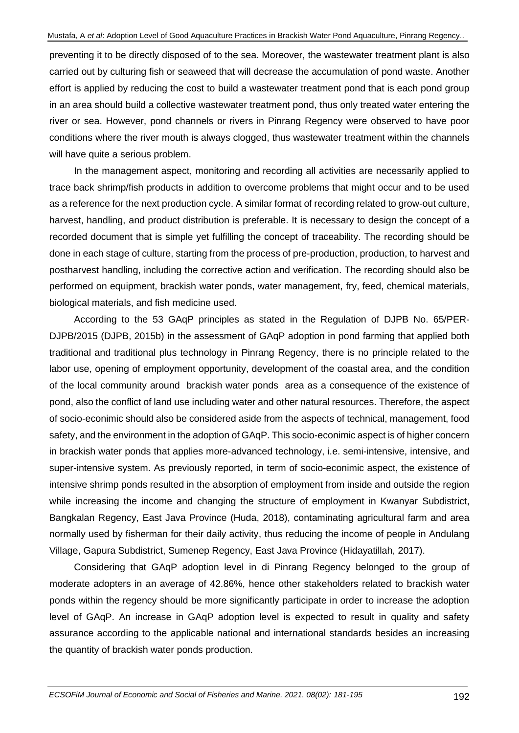preventing it to be directly disposed of to the sea. Moreover, the wastewater treatment plant is also carried out by culturing fish or seaweed that will decrease the accumulation of pond waste. Another effort is applied by reducing the cost to build a wastewater treatment pond that is each pond group in an area should build a collective wastewater treatment pond, thus only treated water entering the river or sea. However, pond channels or rivers in Pinrang Regency were observed to have poor conditions where the river mouth is always clogged, thus wastewater treatment within the channels will have quite a serious problem.

In the management aspect, monitoring and recording all activities are necessarily applied to trace back shrimp/fish products in addition to overcome problems that might occur and to be used as a reference for the next production cycle. A similar format of recording related to grow-out culture, harvest, handling, and product distribution is preferable. It is necessary to design the concept of a recorded document that is simple yet fulfilling the concept of traceability. The recording should be done in each stage of culture, starting from the process of pre-production, production, to harvest and postharvest handling, including the corrective action and verification. The recording should also be performed on equipment, brackish water ponds, water management, fry, feed, chemical materials, biological materials, and fish medicine used.

According to the 53 GAqP principles as stated in the Regulation of DJPB No. 65/PER-DJPB/2015 (DJPB, 2015b) in the assessment of GAqP adoption in pond farming that applied both traditional and traditional plus technology in Pinrang Regency, there is no principle related to the labor use, opening of employment opportunity, development of the coastal area, and the condition of the local community around brackish water ponds area as a consequence of the existence of pond, also the conflict of land use including water and other natural resources. Therefore, the aspect of socio-econimic should also be considered aside from the aspects of technical, management, food safety, and the environment in the adoption of GAqP. This socio-econimic aspect is of higher concern in brackish water ponds that applies more-advanced technology, i.e. semi-intensive, intensive, and super-intensive system. As previously reported, in term of socio-econimic aspect, the existence of intensive shrimp ponds resulted in the absorption of employment from inside and outside the region while increasing the income and changing the structure of employment in Kwanyar Subdistrict, Bangkalan Regency, East Java Province (Huda, 2018), contaminating agricultural farm and area normally used by fisherman for their daily activity, thus reducing the income of people in Andulang Village, Gapura Subdistrict, Sumenep Regency, East Java Province (Hidayatillah, 2017).

Considering that GAqP adoption level in di Pinrang Regency belonged to the group of moderate adopters in an average of 42.86%, hence other stakeholders related to brackish water ponds within the regency should be more significantly participate in order to increase the adoption level of GAqP. An increase in GAqP adoption level is expected to result in quality and safety assurance according to the applicable national and international standards besides an increasing the quantity of brackish water ponds production.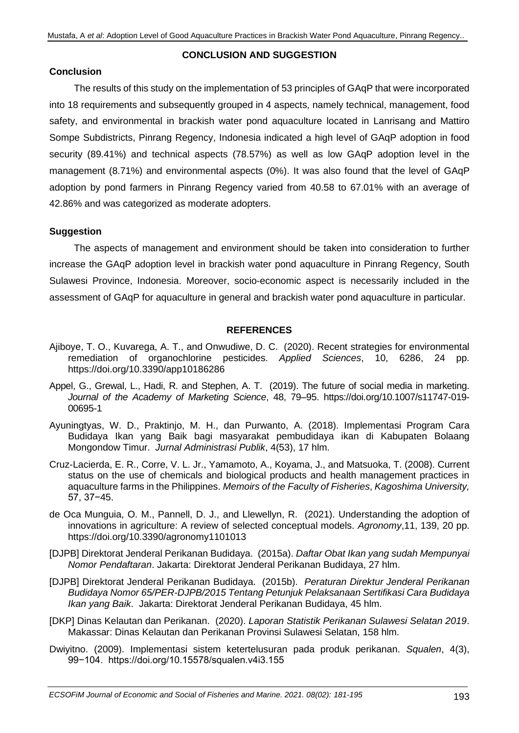#### **CONCLUSION AND SUGGESTION**

## **Conclusion**

The results of this study on the implementation of 53 principles of GAqP that were incorporated into 18 requirements and subsequently grouped in 4 aspects, namely technical, management, food safety, and environmental in brackish water pond aquaculture located in Lanrisang and Mattiro Sompe Subdistricts, Pinrang Regency, Indonesia indicated a high level of GAqP adoption in food security (89.41%) and technical aspects (78.57%) as well as low GAqP adoption level in the management (8.71%) and environmental aspects (0%). It was also found that the level of GAqP adoption by pond farmers in Pinrang Regency varied from 40.58 to 67.01% with an average of 42.86% and was categorized as moderate adopters.

### **Suggestion**

The aspects of management and environment should be taken into consideration to further increase the GAqP adoption level in brackish water pond aquaculture in Pinrang Regency, South Sulawesi Province, Indonesia. Moreover, socio-economic aspect is necessarily included in the assessment of GAqP for aquaculture in general and brackish water pond aquaculture in particular.

### **REFERENCES**

- Ajiboye, T. O., Kuvarega, A. T., and Onwudiwe, D. C. (2020). Recent strategies for environmental remediation of organochlorine pesticides. *Applied Sciences*, 10, 6286, 24 pp. https://doi.org/10.3390/app10186286
- Appel, G., Grewal, L., Hadi, R. and Stephen, A. T. (2019). The future of social media in marketing. *Journal of the Academy of Marketing Science*, 48, 79–95. https://doi.org/10.1007/s11747-019- 00695-1
- Ayuningtyas, W. D., Praktinjo, M. H., dan Purwanto, A. (2018). Implementasi Program Cara Budidaya Ikan yang Baik bagi masyarakat pembudidaya ikan di Kabupaten Bolaang Mongondow Timur. *Jurnal Administrasi Publik*, 4(53), 17 hlm.
- Cruz-Lacierda, E. R., Corre, V. L. Jr., Yamamoto, A., Koyama, J., and Matsuoka, T. (2008). Current status on the use of chemicals and biological products and health management practices in aquaculture farms in the Philippines. *Memoirs of the Faculty of Fisheries*, *Kagoshima University,*  57, 37−45.
- de Oca Munguia, O. M., Pannell, D. J., and Llewellyn, R. (2021). Understanding the adoption of innovations in agriculture: A review of selected conceptual models. *Agronomy*,11, 139, 20 pp. https://doi.org/10.3390/agronomy1101013
- [DJPB] Direktorat Jenderal Perikanan Budidaya. (2015a). *Daftar Obat Ikan yang sudah Mempunyai Nomor Pendaftaran*. Jakarta: Direktorat Jenderal Perikanan Budidaya, 27 hlm.
- [DJPB] Direktorat Jenderal Perikanan Budidaya. (2015b). *Peraturan Direktur Jenderal Perikanan Budidaya Nomor 65/PER-DJPB/2015 Tentang Petunjuk Pelaksanaan Sertifikasi Cara Budidaya Ikan yang Baik*. Jakarta: Direktorat Jenderal Perikanan Budidaya, 45 hlm.
- [DKP] Dinas Kelautan dan Perikanan. (2020). *Laporan Statistik Perikanan Sulawesi Selatan 2019*. Makassar: Dinas Kelautan dan Perikanan Provinsi Sulawesi Selatan, 158 hlm.
- Dwiyitno. (2009). Implementasi sistem ketertelusuran pada produk perikanan. *Squalen*, 4(3), 99−104. https://doi.org/10.15578/squalen.v4i3.155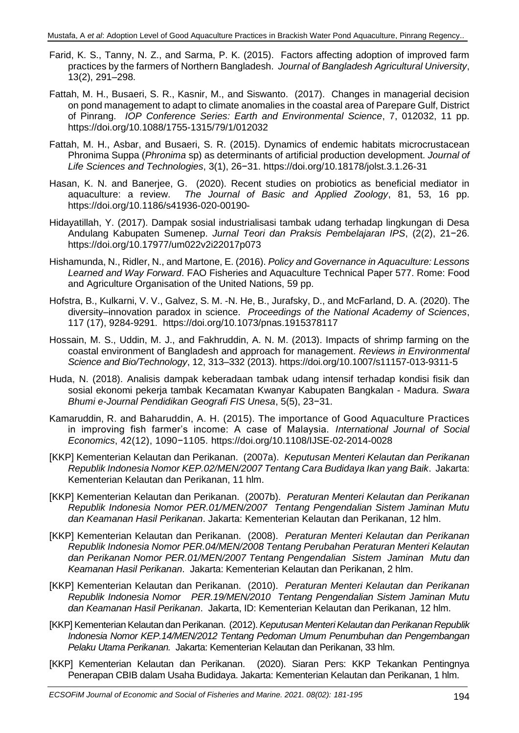- Farid, K. S., Tanny, N. Z., and Sarma, P. K. (2015). Factors affecting adoption of improved farm practices by the farmers of Northern Bangladesh. *Journal of Bangladesh Agricultural University*, 13(2), 291–298.
- Fattah, M. H., Busaeri, S. R., Kasnir, M., and Siswanto. (2017). Changes in managerial decision on pond management to adapt to climate anomalies in the coastal area of Parepare Gulf, District of Pinrang. *IOP Conference Series: Earth and Environmental Science*, 7, 012032, 11 pp. https://doi.org/10.1088/1755-1315/79/1/012032
- Fattah, M. H., Asbar, and Busaeri, S. R. (2015). Dynamics of endemic habitats microcrustacean Phronima Suppa (*Phronima* sp) as determinants of artificial production development. *Journal of Life Sciences and Technologies*, 3(1), 26−31. https://doi.org/10.18178/jolst.3.1.26-31
- Hasan, K. N. and Banerjee, G. (2020). Recent studies on probiotics as beneficial mediator in aquaculture: a review. *The Journal of Basic and Applied Zoology*, 81, 53, 16 pp. https://doi.org/10.1186/s41936-020-00190-
- Hidayatillah, Y. (2017). Dampak sosial industrialisasi tambak udang terhadap lingkungan di Desa Andulang Kabupaten Sumenep. *Jurnal Teori dan Praksis Pembelajaran IPS*, (2(2), 21−26. https://doi.org/10.17977/um022v2i22017p073
- Hishamunda, N., Ridler, N., and Martone, E. (2016). *Policy and Governance in Aquaculture: Lessons Learned and Way Forward*. FAO Fisheries and Aquaculture Technical Paper 577. Rome: Food and Agriculture Organisation of the United Nations, 59 pp.
- Hofstra, B., Kulkarni, V. V., Galvez, S. M. -N. He, B., Jurafsky, D., and McFarland, D. A. (2020). The diversity–innovation paradox in science. *Proceedings of the National Academy of Sciences*, 117 (17), 9284-9291. https://doi.org/10.1073/pnas.1915378117
- Hossain, M. S., Uddin, M. J., and Fakhruddin, A. N. M. (2013). Impacts of shrimp farming on the coastal environment of Bangladesh and approach for management. *Reviews in Environmental Science and Bio/Technology*, 12, 313–332 (2013). https://doi.org/10.1007/s11157-013-9311-5
- Huda, N. (2018). Analisis dampak keberadaan tambak udang intensif terhadap kondisi fisik dan sosial ekonomi pekerja tambak Kecamatan Kwanyar Kabupaten Bangkalan - Madura. *Swara Bhumi e-Journal Pendidikan Geografi FIS Unesa*, 5(5), 23−31.
- Kamaruddin, R. and [Baharuddin,](https://www.emeraldinsight.com/author/Baharuddin%2C+Amir+Hussin) A. H. (2015). The importance of Good Aquaculture Practices in improving fish farmer's income: A case of Malaysia. *International Journal of Social Economics*, 42(12), 1090−1105. <https://doi.org/10.1108/IJSE-02-2014-0028>
- [KKP] Kementerian Kelautan dan Perikanan. (2007a). *Keputusan Menteri Kelautan dan Perikanan Republik Indonesia Nomor KEP.02/MEN/2007 Tentang Cara Budidaya Ikan yang Baik*. Jakarta: Kementerian Kelautan dan Perikanan, 11 hlm.
- [KKP] Kementerian Kelautan dan Perikanan. (2007b). *Peraturan Menteri Kelautan dan Perikanan Republik Indonesia Nomor PER.01/MEN/2007 Tentang Pengendalian Sistem Jaminan Mutu dan Keamanan Hasil Perikanan*. Jakarta: Kementerian Kelautan dan Perikanan, 12 hlm.
- [KKP] Kementerian Kelautan dan Perikanan. (2008). *Peraturan Menteri Kelautan dan Perikanan Republik Indonesia Nomor PER.04/MEN/2008 Tentang Perubahan Peraturan Menteri Kelautan dan Perikanan Nomor PER.01/MEN/2007 Tentang Pengendalian Sistem Jaminan Mutu dan Keamanan Hasil Perikanan*. Jakarta: Kementerian Kelautan dan Perikanan, 2 hlm.
- [KKP] Kementerian Kelautan dan Perikanan. (2010). *Peraturan Menteri Kelautan dan Perikanan Republik Indonesia Nomor PER.19/MEN/2010 Tentang Pengendalian Sistem Jaminan Mutu dan Keamanan Hasil Perikanan*. Jakarta, ID: Kementerian Kelautan dan Perikanan, 12 hlm.
- [KKP] Kementerian Kelautan dan Perikanan. (2012). *Keputusan Menteri Kelautan dan Perikanan Republik Indonesia Nomor KEP.14/MEN/2012 Tentang Pedoman Umum Penumbuhan dan Pengembangan Pelaku Utama Perikanan.* Jakarta: Kementerian Kelautan dan Perikanan, 33 hlm.
- [KKP] Kementerian Kelautan dan Perikanan. (2020). Siaran Pers: KKP Tekankan Pentingnya Penerapan CBIB dalam Usaha Budidaya. Jakarta: Kementerian Kelautan dan Perikanan, 1 hlm.